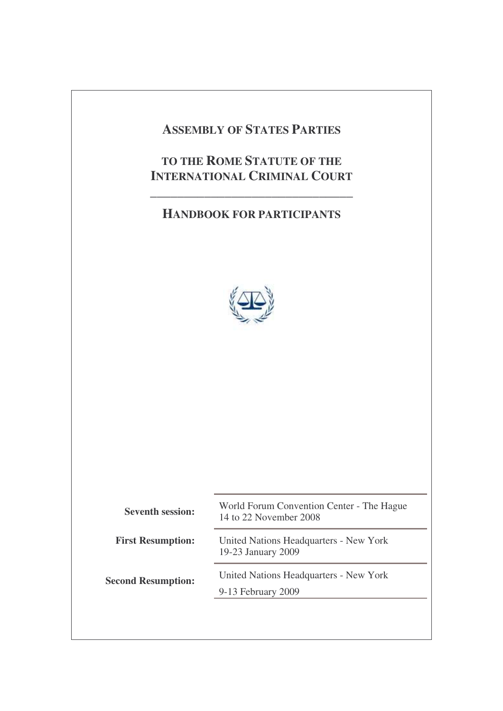# **ASSEMBLY OF STATES PARTIES**

# **TO THE ROME STATUTE OF THE INTERNATIONAL CRIMINAL COURT**

**\_\_\_\_\_\_\_\_\_\_\_\_\_\_\_\_\_\_\_\_\_\_\_\_\_\_\_\_\_\_**

# **HANDBOOK FOR PARTICIPANTS**



| <b>Seventh session:</b>   | World Forum Convention Center - The Hague<br>14 to 22 November 2008 |  |
|---------------------------|---------------------------------------------------------------------|--|
| <b>First Resumption:</b>  | United Nations Headquarters - New York<br>19-23 January 2009        |  |
| <b>Second Resumption:</b> | United Nations Headquarters - New York<br>9-13 February 2009        |  |
|                           |                                                                     |  |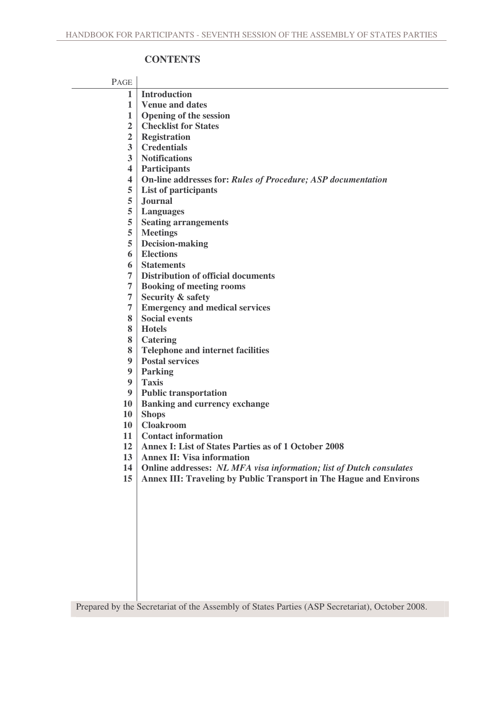### **CONTENTS**

| PAGE                    |                                                                     |
|-------------------------|---------------------------------------------------------------------|
| $\mathbf 1$             | <b>Introduction</b>                                                 |
| $\mathbf{1}$            | <b>Venue and dates</b>                                              |
| $\mathbf{1}$            | <b>Opening of the session</b>                                       |
| $\overline{2}$          | <b>Checklist for States</b>                                         |
| $\overline{2}$          | <b>Registration</b>                                                 |
| $\overline{\mathbf{3}}$ | <b>Credentials</b>                                                  |
| $\overline{\mathbf{3}}$ | <b>Notifications</b>                                                |
| $\overline{\mathbf{4}}$ | <b>Participants</b>                                                 |
| $\overline{\mathbf{4}}$ | On-line addresses for: Rules of Procedure; ASP documentation        |
| 5                       | List of participants                                                |
| 5                       | <b>Journal</b>                                                      |
| 5<br>5                  | <b>Languages</b>                                                    |
| 5                       | <b>Seating arrangements</b><br><b>Meetings</b>                      |
| 5                       | <b>Decision-making</b>                                              |
| 6                       | <b>Elections</b>                                                    |
| 6                       | <b>Statements</b>                                                   |
| 7                       | <b>Distribution of official documents</b>                           |
| $\overline{7}$          | <b>Booking of meeting rooms</b>                                     |
| $\overline{7}$          | <b>Security &amp; safety</b>                                        |
| 7                       | <b>Emergency and medical services</b>                               |
| 8                       | <b>Social events</b>                                                |
| 8                       | <b>Hotels</b>                                                       |
| 8                       | <b>Catering</b>                                                     |
| 8                       | <b>Telephone and internet facilities</b>                            |
| 9                       | <b>Postal services</b>                                              |
| 9                       | <b>Parking</b>                                                      |
| 9                       | <b>Taxis</b>                                                        |
| 9                       | <b>Public transportation</b>                                        |
| <b>10</b>               | <b>Banking and currency exchange</b>                                |
| <b>10</b>               | <b>Shops</b>                                                        |
| 10<br>11                | <b>Cloakroom</b><br><b>Contact information</b>                      |
| 12                      | <b>Annex I: List of States Parties as of 1 October 2008</b>         |
| 13                      | <b>Annex II: Visa information</b>                                   |
| 14                      | Online addresses: NL MFA visa information; list of Dutch consulates |
| 15                      | Annex III: Traveling by Public Transport in The Hague and Environs  |
|                         |                                                                     |
|                         |                                                                     |
|                         |                                                                     |
|                         |                                                                     |
|                         |                                                                     |
|                         |                                                                     |
|                         |                                                                     |
|                         |                                                                     |
|                         |                                                                     |
|                         |                                                                     |

Prepared by the Secretariat of the Assembly of States Parties (ASP Secretariat), October 2008.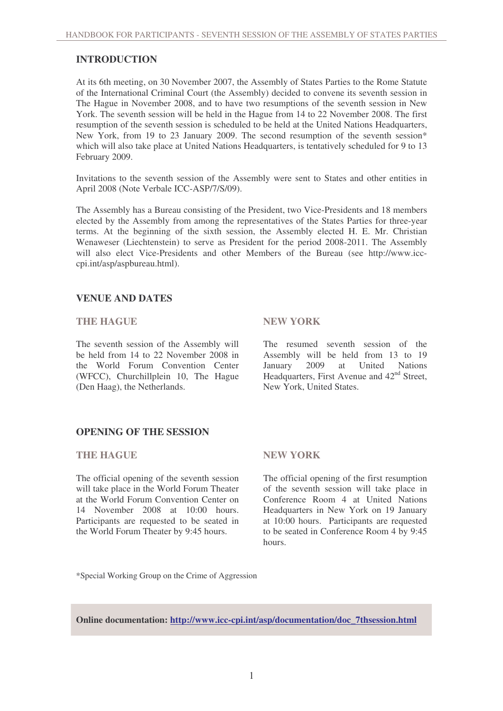### **INTRODUCTION**

At its 6th meeting, on 30 November 2007, the Assembly of States Parties to the Rome Statute of the International Criminal Court (the Assembly) decided to convene its seventh session in The Hague in November 2008, and to have two resumptions of the seventh session in New York. The seventh session will be held in the Hague from 14 to 22 November 2008. The first resumption of the seventh session is scheduled to be held at the United Nations Headquarters, New York, from 19 to 23 January 2009. The second resumption of the seventh session\* which will also take place at United Nations Headquarters, is tentatively scheduled for 9 to 13 February 2009.

Invitations to the seventh session of the Assembly were sent to States and other entities in April 2008 (Note Verbale ICC-ASP/7/S/09).

The Assembly has a Bureau consisting of the President, two Vice-Presidents and 18 members elected by the Assembly from among the representatives of the States Parties for three-year terms. At the beginning of the sixth session, the Assembly elected H. E. Mr. Christian Wenaweser (Liechtenstein) to serve as President for the period 2008-2011. The Assembly will also elect Vice-Presidents and other Members of the Bureau (see http://www.icccpi.int/asp/aspbureau.html).

### **VENUE AND DATES**

#### **THE HAGUE NEW YORK**

The seventh session of the Assembly will be held from 14 to 22 November 2008 in the World Forum Convention Center (WFCC), Churchillplein 10, The Hague (Den Haag), the Netherlands.

The resumed seventh session of the Assembly will be held from 13 to 19 January 2009 at United Nations Headquarters, First Avenue and 42<sup>nd</sup> Street, New York, United States.

### **OPENING OF THE SESSION**

#### **THE HAGUE NEW YORK**

The official opening of the seventh session will take place in the World Forum Theater at the World Forum Convention Center on 14 November 2008 at 10:00 hours. Participants are requested to be seated in the World Forum Theater by 9:45 hours.

The official opening of the first resumption of the seventh session will take place in Conference Room 4 at United Nations Headquarters in New York on 19 January at 10:00 hours. Participants are requested to be seated in Conference Room 4 by 9:45 hours.

\*Special Working Group on the Crime of Aggression

**Online documentation: http://www.icc-cpi.int/asp/documentation/doc\_7thsession.html**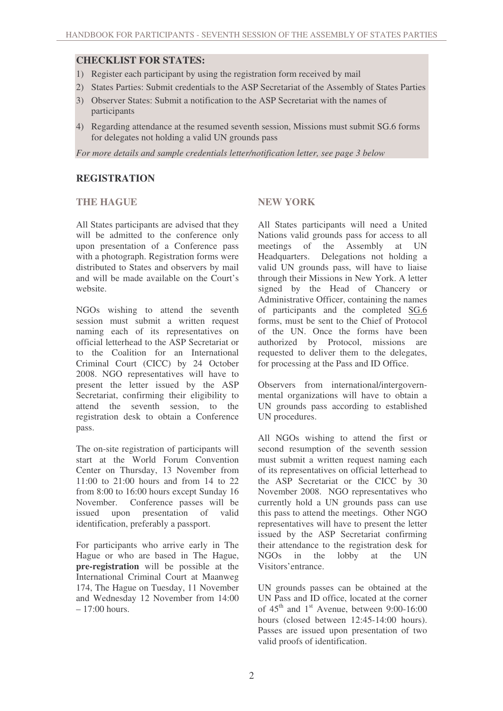### **CHECKLIST FOR STATES:**

- 1) Register each participant by using the registration form received by mail
- 2) States Parties: Submit credentials to the ASP Secretariat of the Assembly of States Parties
- 3) Observer States: Submit a notification to the ASP Secretariat with the names of participants
- 4) Regarding attendance at the resumed seventh session, Missions must submit SG.6 forms for delegates not holding a valid UN grounds pass

*For more details and sample credentials letter/notification letter, see page 3 below*

### **REGISTRATION**

### **THE HAGUE NEW YORK**

All States participants are advised that they will be admitted to the conference only upon presentation of a Conference pass with a photograph. Registration forms were distributed to States and observers by mail and will be made available on the Court's website.

NGOs wishing to attend the seventh session must submit a written request naming each of its representatives on official letterhead to the ASP Secretariat or to the Coalition for an International Criminal Court (CICC) by 24 October 2008. NGO representatives will have to present the letter issued by the ASP Secretariat, confirming their eligibility to attend the seventh session, to the registration desk to obtain a Conference pass.

The on-site registration of participants will start at the World Forum Convention Center on Thursday, 13 November from 11:00 to 21:00 hours and from 14 to 22 from 8:00 to 16:00 hours except Sunday 16 November. Conference passes will be issued upon presentation of valid issued upon presentation of valid identification, preferably a passport.

For participants who arrive early in The Hague or who are based in The Hague, **pre-registration** will be possible at the International Criminal Court at Maanweg 174, The Hague on Tuesday, 11 November and Wednesday 12 November from 14:00  $-17:00$  hours.

All States participants will need a United Nations valid grounds pass for access to all meetings of the Assembly at UN Headquarters. Delegations not holding a valid UN grounds pass, will have to liaise through their Missions in New York. A letter signed by the Head of Chancery or Administrative Officer, containing the names of participants and the completed SG.6 forms, must be sent to the Chief of Protocol of the UN. Once the forms have been authorized by Protocol, missions are requested to deliver them to the delegates, for processing at the Pass and ID Office.

Observers from international/intergovernmental organizations will have to obtain a UN grounds pass according to established UN procedures.

All NGOs wishing to attend the first or second resumption of the seventh session must submit a written request naming each of its representatives on official letterhead to the ASP Secretariat or the CICC by 30 November 2008. NGO representatives who currently hold a UN grounds pass can use this pass to attend the meetings. Other NGO representatives will have to present the letter issued by the ASP Secretariat confirming their attendance to the registration desk for NGOs in the lobby at the UN Visitors'entrance.

UN grounds passes can be obtained at the UN Pass and ID office, located at the corner of  $45<sup>th</sup>$  and  $1<sup>st</sup>$  Avenue, between 9:00-16:00 hours (closed between 12:45-14:00 hours). Passes are issued upon presentation of two valid proofs of identification.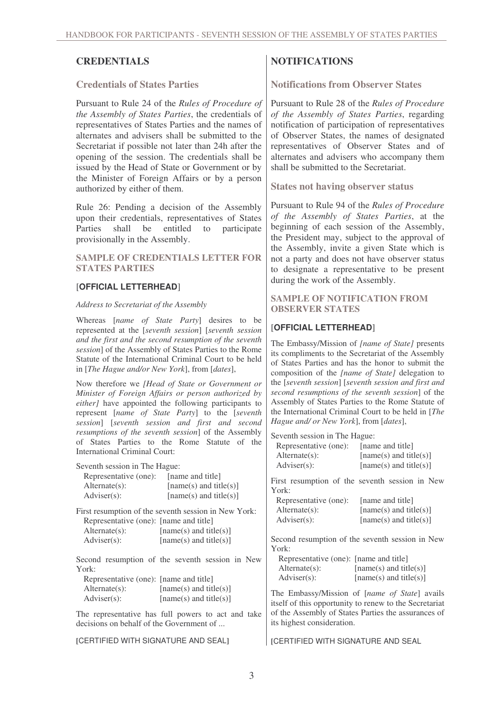#### **Credentials of States Parties**

Pursuant to Rule 24 of the *Rules of Procedure of the Assembly of States Parties*, the credentials of representatives of States Parties and the names of alternates and advisers shall be submitted to the Secretariat if possible not later than 24h after the opening of the session. The credentials shall be issued by the Head of State or Government or by the Minister of Foreign Affairs or by a person authorized by either of them.

Rule 26: Pending a decision of the Assembly upon their credentials, representatives of States Parties shall be entitled to participate provisionally in the Assembly.

#### **SAMPLE OF CREDENTIALS LETTER FOR STATES PARTIES**

#### [**OFFICIAL LETTERHEAD**]

#### *Address to Secretariat of the Assembly*

Whereas [*name of State Party*] desires to be represented at the [*seventh session*] [*seventh session and the first and the second resumption of the seventh session*] of the Assembly of States Parties to the Rome Statute of the International Criminal Court to be held in [*The Hague and/or New York*], from [*dates*],

Now therefore we *[Head of State or Government or Minister of Foreign Affairs or person authorized by either]* have appointed the following participants to represent [*name of State Party*] to the [*seventh session*] [*seventh session and first and second resumptions of the seventh session*] of the Assembly of States Parties to the Rome Statute of the International Criminal Court:

Seventh session in The Hague:

| Representative (one):<br>$Alternate(s)$ :<br>$\text{Adviser}(s)$ :                             | [name and title]<br>$[name(s)$ and title(s)]<br>$[name(s)$ and title(s)] | York:<br>Representative (one):                                                    | First resumption of the seventh session in New<br>[name and title]                                      |
|------------------------------------------------------------------------------------------------|--------------------------------------------------------------------------|-----------------------------------------------------------------------------------|---------------------------------------------------------------------------------------------------------|
| First resumption of the seventh session in New York:                                           |                                                                          | $Alternate(s)$ :                                                                  | $[name(s)$ and title(s)]                                                                                |
| Representative (one): [name and title]                                                         |                                                                          | $\text{Adviser}(s)$ :                                                             | $[name(s)$ and title(s)]                                                                                |
| $Alternate(s)$ :                                                                               | $[name(s)$ and title(s)]                                                 |                                                                                   |                                                                                                         |
| $Adviser(s)$ :                                                                                 | $[name(s)$ and title(s)]                                                 | York:                                                                             | Second resumption of the seventh session in New                                                         |
|                                                                                                | Second resumption of the seventh session in New                          | Representative (one): [name and title]                                            |                                                                                                         |
| York:                                                                                          |                                                                          | $Alternate(s)$ :                                                                  | $[name(s)$ and title(s)]                                                                                |
| Representative (one): [name and title]                                                         |                                                                          | $\text{Adviser}(s)$ :                                                             | $[name(s)$ and title(s)]                                                                                |
| $Alternate(s)$ :<br>$\text{Adviser}(s)$ :                                                      | $[name(s)$ and title(s)]<br>$[name(s)$ and title(s)]                     |                                                                                   | The Embassy/Mission of [name of State] avails<br>itself of this opportunity to renew to the Secretariat |
| The representative has full powers to act and take<br>decisions on behalf of the Government of |                                                                          | of the Assembly of States Parties the assurances of<br>its highest consideration. |                                                                                                         |
| [CERTIFIED WITH SIGNATURE AND SEAL]                                                            |                                                                          | <b>[CERTIFIED WITH SIGNATURE AND SEAL</b>                                         |                                                                                                         |

**CREDENTIALS NOTIFICATIONS**

**Notifications from Observer States**

Pursuant to Rule 28 of the *Rules of Procedure of the Assembly of States Parties*, regarding notification of participation of representatives of Observer States, the names of designated representatives of Observer States and of alternates and advisers who accompany them shall be submitted to the Secretariat.

**States not having observer status**

Pursuant to Rule 94 of the *Rules of Procedure of the Assembly of States Parties*, at the beginning of each session of the Assembly, the President may, subject to the approval of the Assembly, invite a given State which is not a party and does not have observer status to designate a representative to be present during the work of the Assembly.

**SAMPLE OF NOTIFICATION FROM OBSERVER STATES**

### [**OFFICIAL LETTERHEAD**]

The Embassy/Mission of *[name of State]* presents its compliments to the Secretariat of the Assembly of States Parties and has the honor to submit the composition of the *[name of State]* delegation to the [*seventh session*] [*seventh session and first and second resumptions of the seventh session*] of the Assembly of States Parties to the Rome Statute of the International Criminal Court to be held in [*The Hague and/ or New York*], from [*dates*],

Seventh session in The Hague:

Representative (one): [name and title] Alternate(s):  $[name(s) and title(s)]$  $Adviser(s):$  [name(s) and title(s)]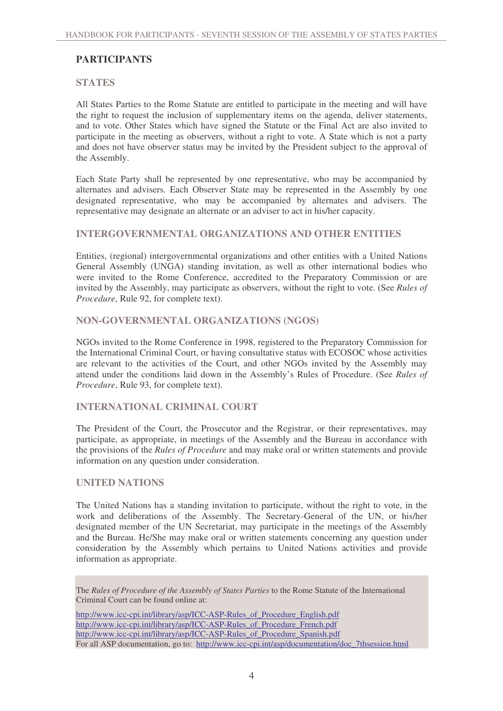## **PARTICIPANTS**

### **STATES**

All States Parties to the Rome Statute are entitled to participate in the meeting and will have the right to request the inclusion of supplementary items on the agenda, deliver statements, and to vote. Other States which have signed the Statute or the Final Act are also invited to participate in the meeting as observers, without a right to vote. A State which is not a party and does not have observer status may be invited by the President subject to the approval of the Assembly.

Each State Party shall be represented by one representative, who may be accompanied by alternates and advisers. Each Observer State may be represented in the Assembly by one designated representative, who may be accompanied by alternates and advisers. The representative may designate an alternate or an adviser to act in his/her capacity.

#### **INTERGOVERNMENTAL ORGANIZATIONS AND OTHER ENTITIES**

Entities, (regional) intergovernmental organizations and other entities with a United Nations General Assembly (UNGA) standing invitation, as well as other international bodies who were invited to the Rome Conference, accredited to the Preparatory Commission or are invited by the Assembly, may participate as observers, without the right to vote. (See *Rules of Procedure*, Rule 92, for complete text).

### **NON-GOVERNMENTAL ORGANIZATIONS (NGOS)**

NGOs invited to the Rome Conference in 1998, registered to the Preparatory Commission for the International Criminal Court, or having consultative status with ECOSOC whose activities are relevant to the activities of the Court, and other NGOs invited by the Assembly may attend under the conditions laid down in the Assembly's Rules of Procedure. (See *Rules of Procedure*, Rule 93, for complete text).

#### **INTERNATIONAL CRIMINAL COURT**

The President of the Court, the Prosecutor and the Registrar, or their representatives, may participate, as appropriate, in meetings of the Assembly and the Bureau in accordance with the provisions of the *Rules of Procedure* and may make oral or written statements and provide information on any question under consideration.

#### **UNITED NATIONS**

The United Nations has a standing invitation to participate, without the right to vote, in the work and deliberations of the Assembly. The Secretary-General of the UN, or his/her designated member of the UN Secretariat, may participate in the meetings of the Assembly and the Bureau. He/She may make oral or written statements concerning any question under consideration by the Assembly which pertains to United Nations activities and provide information as appropriate.

The *Rules of Procedure of the Assembly of States Parties* to the Rome Statute of the International Criminal Court can be found online at:

http://www.icc-cpi.int/library/asp/ICC-ASP-Rules\_of\_Procedure\_English.pdf http://www.icc-cpi.int/library/asp/ICC-ASP-Rules\_of\_Procedure\_French.pdf http://www.icc-cpi.int/library/asp/ICC-ASP-Rules\_of\_Procedure\_Spanish.pdf For all ASP documentation, go to: http://www.icc-cpi.int/asp/documentation/doc\_7thsession.html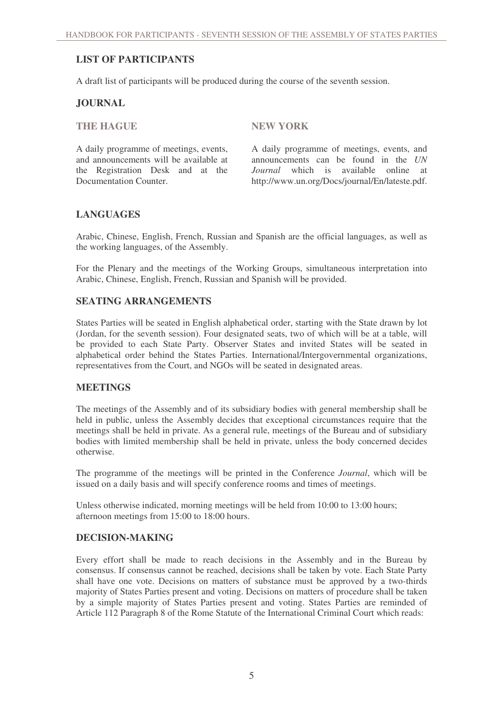## **LIST OF PARTICIPANTS**

A draft list of participants will be produced during the course of the seventh session.

### **JOURNAL**

**THE HAGUE NEW YORK**

A daily programme of meetings, events, and announcements will be available at the Registration Desk and at the Documentation Counter.

A daily programme of meetings, events, and announcements can be found in the *UN Journal* which is available online at http://www.un.org/Docs/journal/En/lateste.pdf.

### **LANGUAGES**

Arabic, Chinese, English, French, Russian and Spanish are the official languages, as well as the working languages, of the Assembly.

For the Plenary and the meetings of the Working Groups, simultaneous interpretation into Arabic, Chinese, English, French, Russian and Spanish will be provided.

### **SEATING ARRANGEMENTS**

States Parties will be seated in English alphabetical order, starting with the State drawn by lot (Jordan, for the seventh session). Four designated seats, two of which will be at a table, will be provided to each State Party. Observer States and invited States will be seated in alphabetical order behind the States Parties. International/Intergovernmental organizations, representatives from the Court, and NGOs will be seated in designated areas.

### **MEETINGS**

The meetings of the Assembly and of its subsidiary bodies with general membership shall be held in public, unless the Assembly decides that exceptional circumstances require that the meetings shall be held in private. As a general rule, meetings of the Bureau and of subsidiary bodies with limited membership shall be held in private, unless the body concerned decides otherwise.

The programme of the meetings will be printed in the Conference *Journal*, which will be issued on a daily basis and will specify conference rooms and times of meetings.

Unless otherwise indicated, morning meetings will be held from 10:00 to 13:00 hours; afternoon meetings from 15:00 to 18:00 hours.

#### **DECISION-MAKING**

Every effort shall be made to reach decisions in the Assembly and in the Bureau by consensus. If consensus cannot be reached, decisions shall be taken by vote. Each State Party shall have one vote. Decisions on matters of substance must be approved by a two-thirds majority of States Parties present and voting. Decisions on matters of procedure shall be taken by a simple majority of States Parties present and voting. States Parties are reminded of Article 112 Paragraph 8 of the Rome Statute of the International Criminal Court which reads: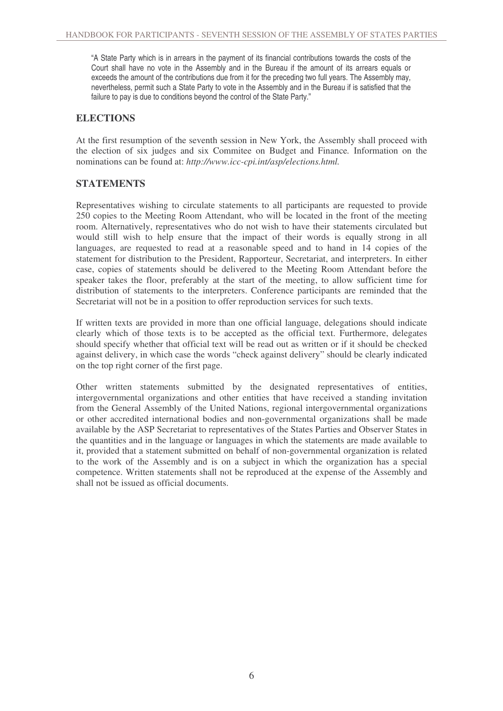"A State Party which is in arrears in the payment of its financial contributions towards the costs of the Court shall have no vote in the Assembly and in the Bureau if the amount of its arrears equals or exceeds the amount of the contributions due from it for the preceding two full years. The Assembly may, nevertheless, permit such a State Party to vote in the Assembly and in the Bureau if is satisfied that the failure to pay is due to conditions beyond the control of the State Party."

#### **ELECTIONS**

At the first resumption of the seventh session in New York, the Assembly shall proceed with the election of six judges and six Commitee on Budget and Finance*.* Information on the nominations can be found at: *http://www.icc-cpi.int/asp/elections.html.*

### **STATEMENTS**

Representatives wishing to circulate statements to all participants are requested to provide 250 copies to the Meeting Room Attendant, who will be located in the front of the meeting room. Alternatively, representatives who do not wish to have their statements circulated but would still wish to help ensure that the impact of their words is equally strong in all languages, are requested to read at a reasonable speed and to hand in 14 copies of the statement for distribution to the President, Rapporteur, Secretariat, and interpreters. In either case, copies of statements should be delivered to the Meeting Room Attendant before the speaker takes the floor, preferably at the start of the meeting, to allow sufficient time for distribution of statements to the interpreters. Conference participants are reminded that the Secretariat will not be in a position to offer reproduction services for such texts.

If written texts are provided in more than one official language, delegations should indicate clearly which of those texts is to be accepted as the official text. Furthermore, delegates should specify whether that official text will be read out as written or if it should be checked against delivery, in which case the words "check against delivery" should be clearly indicated on the top right corner of the first page.

Other written statements submitted by the designated representatives of entities, intergovernmental organizations and other entities that have received a standing invitation from the General Assembly of the United Nations, regional intergovernmental organizations or other accredited international bodies and non-governmental organizations shall be made available by the ASP Secretariat to representatives of the States Parties and Observer States in the quantities and in the language or languages in which the statements are made available to it, provided that a statement submitted on behalf of non-governmental organization is related to the work of the Assembly and is on a subject in which the organization has a special competence. Written statements shall not be reproduced at the expense of the Assembly and shall not be issued as official documents.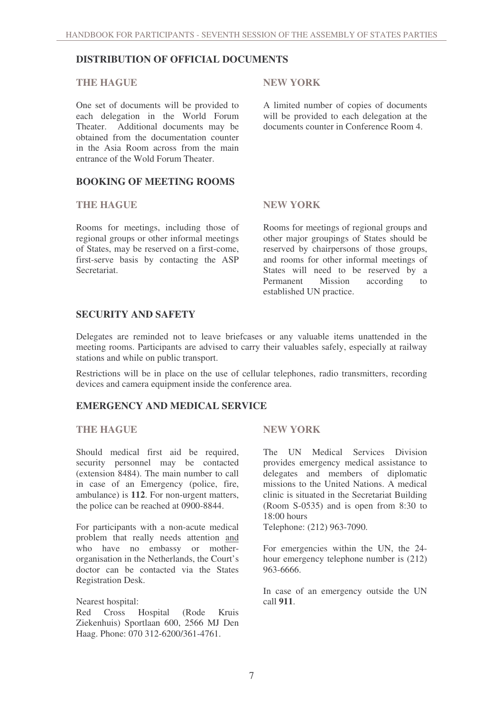### **DISTRIBUTION OF OFFICIAL DOCUMENTS**

#### **THE HAGUE NEW YORK**

One set of documents will be provided to each delegation in the World Forum Theater. Additional documents may be obtained from the documentation counter in the Asia Room across from the main entrance of the Wold Forum Theater.

### **BOOKING OF MEETING ROOMS**

#### **THE HAGUE NEW YORK**

Rooms for meetings, including those of regional groups or other informal meetings of States, may be reserved on a first-come, first-serve basis by contacting the ASP **Secretariat** 

A limited number of copies of documents will be provided to each delegation at the documents counter in Conference Room 4.

Rooms for meetings of regional groups and other major groupings of States should be reserved by chairpersons of those groups, and rooms for other informal meetings of States will need to be reserved by a<br>Permanent Mission according to Mission according to established UN practice.

#### **SECURITY AND SAFETY**

Delegates are reminded not to leave briefcases or any valuable items unattended in the meeting rooms. Participants are advised to carry their valuables safely, especially at railway stations and while on public transport.

Restrictions will be in place on the use of cellular telephones, radio transmitters, recording devices and camera equipment inside the conference area.

### **EMERGENCY AND MEDICAL SERVICE**

#### **THE HAGUE NEW YORK**

Should medical first aid be required, security personnel may be contacted (extension 8484). The main number to call in case of an Emergency (police, fire, ambulance) is **112**. For non-urgent matters, the police can be reached at 0900-8844.

For participants with a non-acute medical problem that really needs attention and who have no embassy or motherorganisation in the Netherlands, the Court's doctor can be contacted via the States Registration Desk.

#### Nearest hospital:

Red Cross Hospital (Rode Kruis Ziekenhuis) Sportlaan 600, 2566 MJ Den Haag. Phone: 070 312-6200/361-4761.

The UN Medical Services Division provides emergency medical assistance to delegates and members of diplomatic missions to the United Nations. A medical clinic is situated in the Secretariat Building (Room S-0535) and is open from 8:30 to 18:00 hours

Telephone: (212) 963-7090.

For emergencies within the UN, the 24 hour emergency telephone number is (212) 963-6666.

In case of an emergency outside the UN call **911**.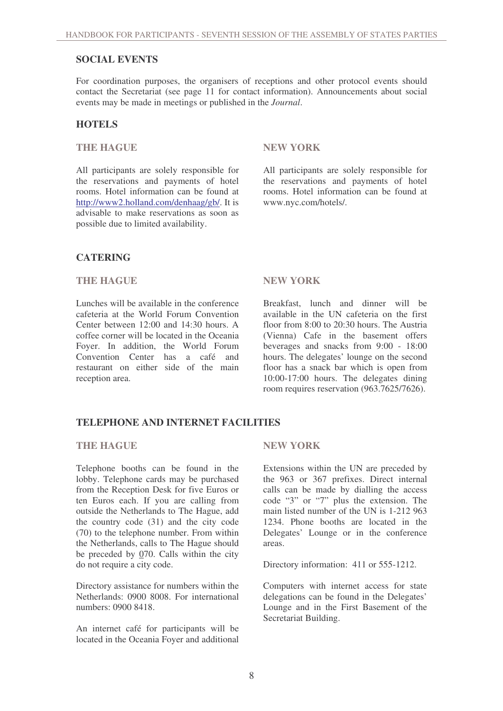#### **SOCIAL EVENTS**

For coordination purposes, the organisers of receptions and other protocol events should contact the Secretariat (see page 11 for contact information). Announcements about social events may be made in meetings or published in the *Journal*.

#### **HOTELS**

#### **THE HAGUE NEW YORK**

All participants are solely responsible for the reservations and payments of hotel rooms. Hotel information can be found at http://www2.holland.com/denhaag/gb/. It is advisable to make reservations as soon as possible due to limited availability.

All participants are solely responsible for the reservations and payments of hotel rooms. Hotel information can be found at www.nyc.com/hotels/.

### **CATERING**

#### **THE HAGUE NEW YORK**

Lunches will be available in the conference cafeteria at the World Forum Convention Center between 12:00 and 14:30 hours. A coffee corner will be located in the Oceania Foyer. In addition, the World Forum Convention Center has a café and restaurant on either side of the main reception area.

Breakfast, lunch and dinner will be available in the UN cafeteria on the first floor from 8:00 to 20:30 hours. The Austria (Vienna) Cafe in the basement offers beverages and snacks from 9:00 - 18:00 hours. The delegates' lounge on the second floor has a snack bar which is open from 10:00-17:00 hours. The delegates dining room requires reservation (963.7625/7626).

#### **TELEPHONE AND INTERNET FACILITIES**

#### **THE HAGUE NEW YORK**

Telephone booths can be found in the lobby. Telephone cards may be purchased from the Reception Desk for five Euros or ten Euros each. If you are calling from outside the Netherlands to The Hague, add the country code (31) and the city code (70) to the telephone number. From within the Netherlands, calls to The Hague should be preceded by 070. Calls within the city do not require a city code.

Directory assistance for numbers within the Netherlands: 0900 8008. For international numbers: 0900 8418.

An internet café for participants will be located in the Oceania Foyer and additional

Extensions within the UN are preceded by the 963 or 367 prefixes. Direct internal calls can be made by dialling the access code "3" or "7" plus the extension. The main listed number of the UN is 1-212 963 1234. Phone booths are located in the Delegates' Lounge or in the conference areas.

Directory information: 411 or 555-1212.

Computers with internet access for state delegations can be found in the Delegates' Lounge and in the First Basement of the Secretariat Building.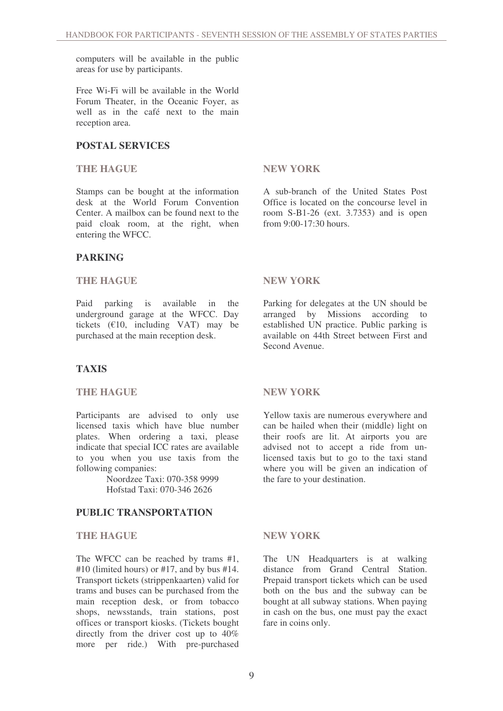computers will be available in the public areas for use by participants.

Free Wi-Fi will be available in the World Forum Theater, in the Oceanic Foyer, as well as in the café next to the main reception area.

### **POSTAL SERVICES**

#### **THE HAGUE NEW YORK**

Stamps can be bought at the information desk at the World Forum Convention Center. A mailbox can be found next to the paid cloak room, at the right, when entering the WFCC.

### **PARKING**

#### **THE HAGUE NEW YORK**

Paid parking is available in the underground garage at the WFCC. Day tickets  $(\text{\textsterling}10, \text{ including } \text{VAT})$  may be purchased at the main reception desk.

### **TAXIS**

#### **THE HAGUE NEW YORK**

Participants are advised to only use licensed taxis which have blue number plates. When ordering a taxi, please indicate that special ICC rates are available to you when you use taxis from the following companies:

> Noordzee Taxi: 070-358 9999 Hofstad Taxi: 070-346 2626

#### **PUBLIC TRANSPORTATION**

#### **THE HAGUE NEW YORK**

The WFCC can be reached by trams #1, #10 (limited hours) or #17, and by bus #14. Transport tickets (strippenkaarten) valid for trams and buses can be purchased from the main reception desk, or from tobacco shops, newsstands, train stations, post offices or transport kiosks. (Tickets bought directly from the driver cost up to 40% more per ride.) With pre-purchased

A sub-branch of the United States Post Office is located on the concourse level in room S-B1-26 (ext. 3.7353) and is open from  $9.00 - 17.30$  hours.

Parking for delegates at the UN should be arranged by Missions according to established UN practice. Public parking is available on 44th Street between First and Second Avenue.

Yellow taxis are numerous everywhere and can be hailed when their (middle) light on their roofs are lit. At airports you are advised not to accept a ride from unlicensed taxis but to go to the taxi stand where you will be given an indication of the fare to your destination.

The UN Headquarters is at walking distance from Grand Central Station. Prepaid transport tickets which can be used both on the bus and the subway can be bought at all subway stations. When paying in cash on the bus, one must pay the exact fare in coins only.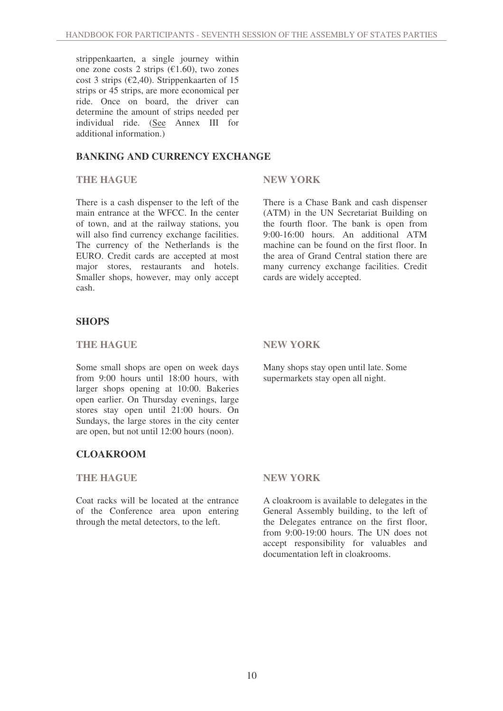strippenkaarten, a single journey within one zone costs 2 strips  $(\text{\textsterling}1.60)$ , two zones cost 3 strips ( $\epsilon$ 2,40). Strippenkaarten of 15 strips or 45 strips, are more economical per ride. Once on board, the driver can determine the amount of strips needed per individual ride. (See Annex III for additional information.)

### **BANKING AND CURRENCY EXCHANGE**

#### **THE HAGUE NEW YORK**

There is a cash dispenser to the left of the main entrance at the WFCC. In the center of town, and at the railway stations, you will also find currency exchange facilities. The currency of the Netherlands is the EURO. Credit cards are accepted at most major stores, restaurants and hotels. Smaller shops, however, may only accept cash.

There is a Chase Bank and cash dispenser (ATM) in the UN Secretariat Building on the fourth floor. The bank is open from 9:00-16:00 hours. An additional ATM machine can be found on the first floor. In the area of Grand Central station there are many currency exchange facilities. Credit cards are widely accepted.

### **SHOPS**

#### **THE HAGUE NEW YORK**

Some small shops are open on week days from 9:00 hours until 18:00 hours, with larger shops opening at 10:00. Bakeries open earlier. On Thursday evenings, large stores stay open until 21:00 hours. On Sundays, the large stores in the city center are open, but not until 12:00 hours (noon).

### **CLOAKROOM**

#### **THE HAGUE NEW YORK**

Coat racks will be located at the entrance of the Conference area upon entering through the metal detectors, to the left.

Many shops stay open until late. Some supermarkets stay open all night.

A cloakroom is available to delegates in the General Assembly building, to the left of the Delegates entrance on the first floor, from 9:00-19:00 hours. The UN does not accept responsibility for valuables and documentation left in cloakrooms.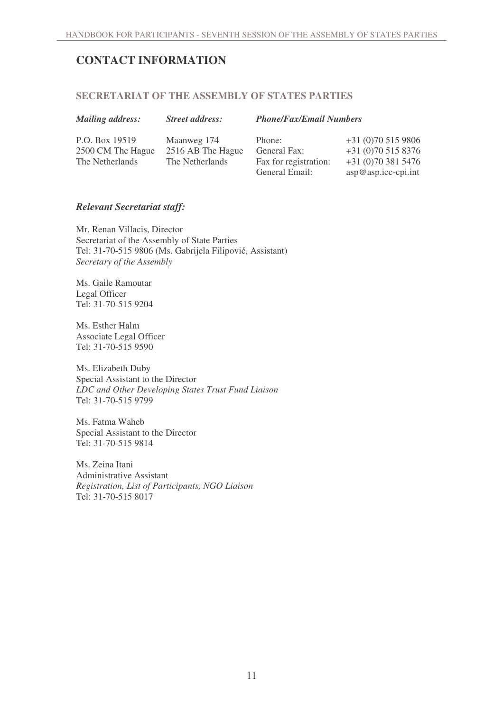# **CONTACT INFORMATION**

#### **SECRETARIAT OF THE ASSEMBLY OF STATES PARTIES**

| <b>Mailing address:</b> |
|-------------------------|
|                         |

#### *Mailing address: Street address: Phone/Fax/Email Numbers*

P.O. Box 19519 2500 CM The Hague The Netherlands

Maanweg 174 2516 AB The Hague The Netherlands

Phone: General Fax: Fax for registration: General Email:

+31 (0)70 515 9806 +31 (0)70 515 8376 +31 (0)70 381 5476 asp@asp.icc-cpi.int

### *Relevant Secretariat staff:*

Mr. Renan Villacis, Director Secretariat of the Assembly of State Parties Tel: 31-70-515 9806 (Ms. Gabrijela Filipović, Assistant) *Secretary of the Assembly*

Ms. Gaile Ramoutar Legal Officer Tel: 31-70-515 9204

Ms. Esther Halm Associate Legal Officer Tel: 31-70-515 9590

Ms. Elizabeth Duby Special Assistant to the Director *LDC and Other Developing States Trust Fund Liaison* Tel: 31-70-515 9799

Ms. Fatma Waheb Special Assistant to the Director Tel: 31-70-515 9814

Ms. Zeina Itani Administrative Assistant *Registration, List of Participants, NGO Liaison* Tel: 31-70-515 8017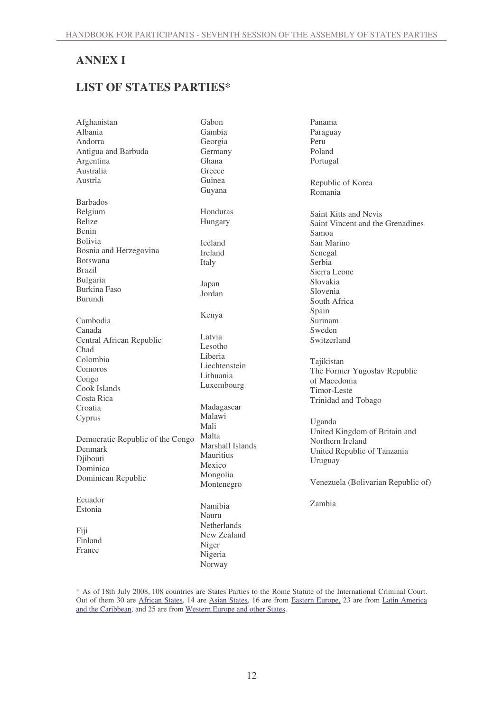# **ANNEX I**

# **LIST OF STATES PARTIES\***

| Afghanistan                      | Gabon            | Panama                             |
|----------------------------------|------------------|------------------------------------|
| Albania                          | Gambia           | Paraguay                           |
| Andorra                          | Georgia          | Peru                               |
| Antigua and Barbuda              | Germany          | Poland                             |
| Argentina                        | Ghana            | Portugal                           |
| Australia                        | Greece           |                                    |
| Austria                          | Guinea           | Republic of Korea                  |
|                                  | Guyana           | Romania                            |
| <b>Barbados</b>                  |                  |                                    |
| Belgium                          | Honduras         |                                    |
| <b>Belize</b>                    | Hungary          | Saint Kitts and Nevis              |
| Benin                            |                  | Saint Vincent and the Grenadines   |
| <b>Bolivia</b>                   |                  | Samoa                              |
|                                  | Iceland          | San Marino                         |
| Bosnia and Herzegovina           | Ireland          | Senegal                            |
| <b>Botswana</b>                  | Italy            | Serbia                             |
| <b>Brazil</b>                    |                  | Sierra Leone                       |
| Bulgaria                         | Japan            | Slovakia                           |
| Burkina Faso                     | Jordan           | Slovenia                           |
| Burundi                          |                  | South Africa                       |
|                                  |                  | Spain                              |
| Cambodia                         | Kenya            | Surinam                            |
| Canada                           |                  | Sweden                             |
| Central African Republic         | Latvia           | Switzerland                        |
| Chad                             | Lesotho          |                                    |
| Colombia                         | Liberia          | Tajikistan                         |
| Comoros                          | Liechtenstein    | The Former Yugoslav Republic       |
| Congo                            | Lithuania        | of Macedonia                       |
| Cook Islands                     | Luxembourg       | Timor-Leste                        |
| Costa Rica                       |                  | Trinidad and Tobago                |
| Croatia                          | Madagascar       |                                    |
| Cyprus                           | Malawi           |                                    |
|                                  | Mali             | Uganda                             |
|                                  | Malta            | United Kingdom of Britain and      |
| Democratic Republic of the Congo | Marshall Islands | Northern Ireland                   |
| Denmark                          | <b>Mauritius</b> | United Republic of Tanzania        |
| Djibouti                         | Mexico           | Uruguay                            |
| Dominica                         | Mongolia         |                                    |
| Dominican Republic               | Montenegro       | Venezuela (Bolivarian Republic of) |
|                                  |                  |                                    |
| Ecuador                          |                  | Zambia                             |
| Estonia                          | Namibia          |                                    |
|                                  | Nauru            |                                    |
| Fiji                             | Netherlands      |                                    |
| Finland                          | New Zealand      |                                    |
| France                           | Niger            |                                    |
|                                  | Nigeria          |                                    |
|                                  | Norway           |                                    |

\* As of 18th July 2008, 108 countries are States Parties to the Rome Statute of the International Criminal Court. Out of them 30 are *African States*, 14 are *Asian States*, 16 are from *Eastern Europe*, 23 are from *Latin America* and the Caribbean, and 25 are from Western Europe and other States.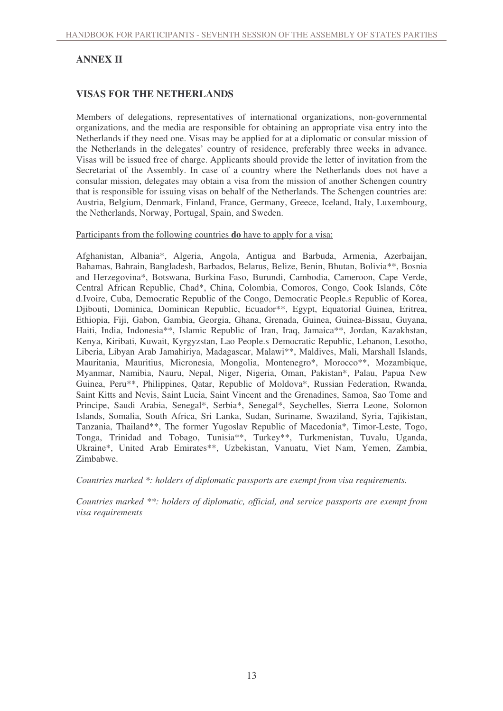# **ANNEX II**

### **VISAS FOR THE NETHERLANDS**

Members of delegations, representatives of international organizations, non-governmental organizations, and the media are responsible for obtaining an appropriate visa entry into the Netherlands if they need one. Visas may be applied for at a diplomatic or consular mission of the Netherlands in the delegates' country of residence, preferably three weeks in advance. Visas will be issued free of charge. Applicants should provide the letter of invitation from the Secretariat of the Assembly. In case of a country where the Netherlands does not have a consular mission, delegates may obtain a visa from the mission of another Schengen country that is responsible for issuing visas on behalf of the Netherlands. The Schengen countries are: Austria, Belgium, Denmark, Finland, France, Germany, Greece, Iceland, Italy, Luxembourg, the Netherlands, Norway, Portugal, Spain, and Sweden.

Participants from the following countries **do** have to apply for a visa:

Afghanistan, Albania\*, Algeria, Angola, Antigua and Barbuda, Armenia, Azerbaijan, Bahamas, Bahrain, Bangladesh, Barbados, Belarus, Belize, Benin, Bhutan, Bolivia\*\*, Bosnia and Herzegovina\*, Botswana, Burkina Faso, Burundi, Cambodia, Cameroon, Cape Verde, Central African Republic, Chad\*, China, Colombia, Comoros, Congo, Cook Islands, Côte d.Ivoire, Cuba, Democratic Republic of the Congo, Democratic People.s Republic of Korea, Djibouti, Dominica, Dominican Republic, Ecuador\*\*, Egypt, Equatorial Guinea, Eritrea, Ethiopia, Fiji, Gabon, Gambia, Georgia, Ghana, Grenada, Guinea, Guinea-Bissau, Guyana, Haiti, India, Indonesia\*\*, Islamic Republic of Iran, Iraq, Jamaica\*\*, Jordan, Kazakhstan, Kenya, Kiribati, Kuwait, Kyrgyzstan, Lao People.s Democratic Republic, Lebanon, Lesotho, Liberia, Libyan Arab Jamahiriya, Madagascar, Malawi\*\*, Maldives, Mali, Marshall Islands, Mauritania, Mauritius, Micronesia, Mongolia, Montenegro\*, Morocco\*\*, Mozambique, Myanmar, Namibia, Nauru, Nepal, Niger, Nigeria, Oman, Pakistan\*, Palau, Papua New Guinea, Peru\*\*, Philippines, Qatar, Republic of Moldova\*, Russian Federation, Rwanda, Saint Kitts and Nevis, Saint Lucia, Saint Vincent and the Grenadines, Samoa, Sao Tome and Principe, Saudi Arabia, Senegal\*, Serbia\*, Senegal\*, Seychelles, Sierra Leone, Solomon Islands, Somalia, South Africa, Sri Lanka, Sudan, Suriname, Swaziland, Syria, Tajikistan, Tanzania, Thailand\*\*, The former Yugoslav Republic of Macedonia\*, Timor-Leste, Togo, Tonga, Trinidad and Tobago, Tunisia\*\*, Turkey\*\*, Turkmenistan, Tuvalu, Uganda, Ukraine\*, United Arab Emirates\*\*, Uzbekistan, Vanuatu, Viet Nam, Yemen, Zambia, Zimbabwe.

*Countries marked \*: holders of diplomatic passports are exempt from visa requirements.*

*Countries marked \*\*: holders of diplomatic, official, and service passports are exempt from visa requirements*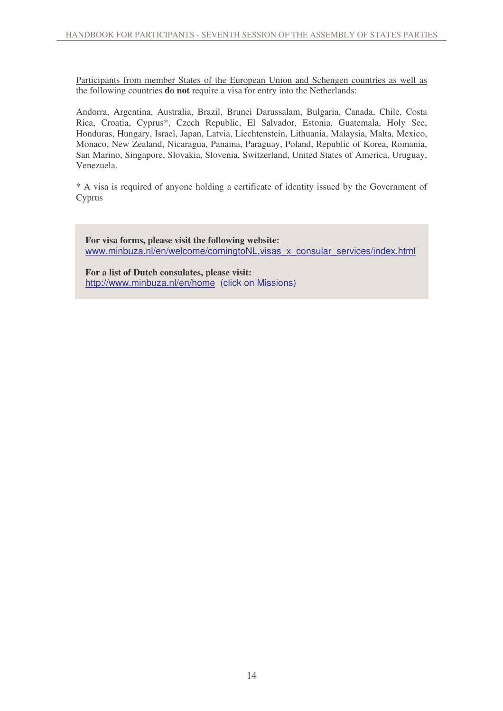Participants from member States of the European Union and Schengen countries as well as the following countries **do not** require a visa for entry into the Netherlands:

Andorra, Argentina, Australia, Brazil, Brunei Darussalam, Bulgaria, Canada, Chile, Costa Rica, Croatia, Cyprus\*, Czech Republic, El Salvador, Estonia, Guatemala, Holy See, Honduras, Hungary, Israel, Japan, Latvia, Liechtenstein, Lithuania, Malaysia, Malta, Mexico, Monaco, New Zealand, Nicaragua, Panama, Paraguay, Poland, Republic of Korea, Romania, San Marino, Singapore, Slovakia, Slovenia, Switzerland, United States of America, Uruguay, Venezuela.

\* A visa is required of anyone holding a certificate of identity issued by the Government of Cyprus

**For visa forms, please visit the following website:** www.minbuza.nl/en/welcome/comingtoNL, visas\_x\_consular\_services/index.html

**For a list of Dutch consulates, please visit:** http://www.minbuza.nl/en/home (click on Missions)